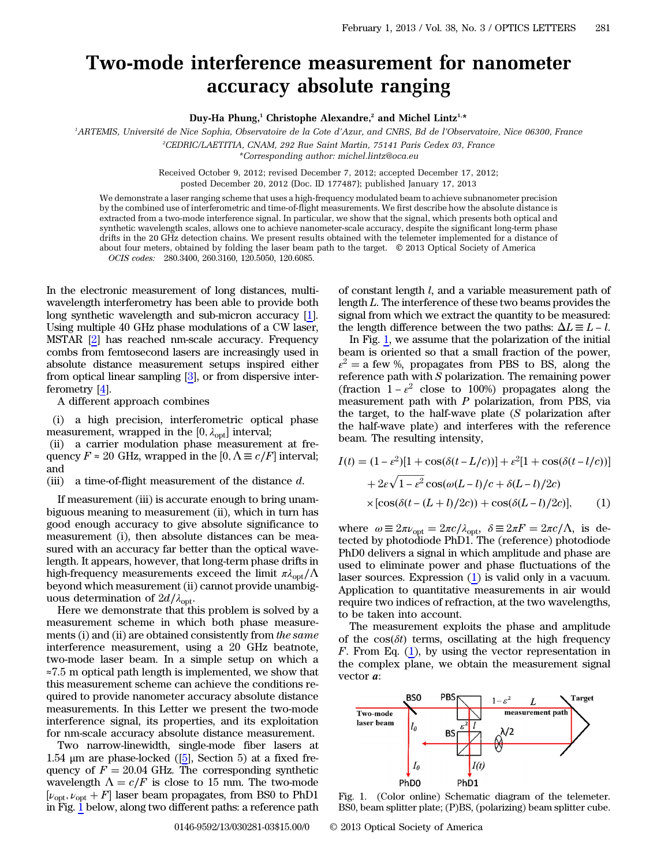## Two-mode interference measurement for nanometer accuracy absolute ranging

Duy-Ha Phung,<sup>1</sup> Christophe Alexandre,<sup>2</sup> and Michel Lintz<sup>1,\*</sup>

1 ARTEMIS, Université de Nice Sophia, Observatoire de la Cote d'Azur, and CNRS, Bd de l'Observatoire, Nice 06300, France

2 CEDRIC/LAETITIA, CNAM, 292 Rue Saint Martin, 75141 Paris Cedex 03, France

\*Corresponding author: michel.lintz@oca.eu

Received October 9, 2012; revised December 7, 2012; accepted December 17, 2012; posted December 20, 2012 (Doc. ID 177487); published January 17, 2013

We demonstrate a laser ranging scheme that uses a high-frequency modulated beam to achieve subnanometer precision by the combined use of interferometric and time-of-flight measurements. We first describe how the absolute distance is extracted from a two-mode interference signal. In particular, we show that the signal, which presents both optical and synthetic wavelength scales, allows one to achieve nanometer-scale accuracy, despite the significant long-term phase drifts in the 20 GHz detection chains. We present results obtained with the telemeter implemented for a distance of about four meters, obtained by folding the laser beam path to the target. © 2013 Optical Society of America OCIS codes: 280.3400, 260.3160, 120.5050, 120.6085.

In the electronic measurement of long distances, multiwavelength interferometry has been able to provide both long synthetic wavelength and sub-micron accuracy [[1](#page-2-0)]. Using multiple 40 GHz phase modulations of a CW laser, MSTAR [[2\]](#page-2-1) has reached nm-scale accuracy. Frequency combs from femtosecond lasers are increasingly used in absolute distance measurement setups inspired either from optical linear sampling [[3\]](#page-2-2), or from dispersive interferometry [[4](#page-2-3)].

A different approach combines

(i) a high precision, interferometric optical phase measurement, wrapped in the  $[0, \lambda_{\text{opt}}]$  interval;

(ii) a carrier modulation phase measurement at frequency  $F \approx 20$  GHz, wrapped in the  $[0, \Lambda \equiv c/F]$  interval; and

(iii) a time-of-flight measurement of the distance  $d$ .

If measurement (iii) is accurate enough to bring unambiguous meaning to measurement (ii), which in turn has good enough accuracy to give absolute significance to measurement (i), then absolute distances can be measured with an accuracy far better than the optical wavelength. It appears, however, that long-term phase drifts in high-frequency measurements exceed the limit  $\pi \lambda_{\rm opt}/\Lambda$ beyond which measurement (ii) cannot provide unambiguous determination of  $2d/\lambda_{\rm opt}$ .

Here we demonstrate that this problem is solved by a measurement scheme in which both phase measurements (i) and (ii) are obtained consistently from the same interference measurement, using a 20 GHz beatnote, two-mode laser beam. In a simple setup on which a ≈7.5 m optical path length is implemented, we show that this measurement scheme can achieve the conditions required to provide nanometer accuracy absolute distance measurements. In this Letter we present the two-mode interference signal, its properties, and its exploitation for nm-scale accuracy absolute distance measurement.

Two narrow-linewidth, single-mode fiber lasers at 1.54 μm are phase-locked  $(5]$  $(5]$ , Section 5) at a fixed frequency of  $F = 20.04$  GHz. The corresponding synthetic wavelength  $\Lambda = c/F$  is close to 15 mm. The two-mode  $[\nu_{opt}, \nu_{opt} + F]$  laser beam propagates, from BS0 to PhD1 in Fig. [1](#page-0-0) below, along two different paths: a reference path

of constant length l, and a variable measurement path of length L. The interference of these two beams provides the signal from which we extract the quantity to be measured: the length difference between the two paths:  $\Delta L \equiv L - l$ .

In Fig. [1,](#page-0-0) we assume that the polarization of the initial beam is oriented so that a small fraction of the power,  $\varepsilon^2$  = a few %, propagates from PBS to BS, along the reference path with S polarization. The remaining power (fraction  $1 - \varepsilon^2$  close to 100%) propagates along the measurement path with  $P$  polarization, from PBS, via the target, to the half-wave plate (S polarization after the half-wave plate) and interferes with the reference beam. The resulting intensity,

<span id="page-0-1"></span>
$$
I(t) = (1 - \varepsilon^2)[1 + \cos(\delta(t - L/c))] + \varepsilon^2 [1 + \cos(\delta(t - l/c))]
$$

$$
+ 2\varepsilon\sqrt{1 - \varepsilon^2}\cos(\omega(L - l)/c + \delta(L - l)/2c)
$$

$$
\times [\cos(\delta(t - (L + l)/2c)) + \cos(\delta(L - l)/2c)], \qquad (1)
$$

where  $\omega \equiv 2\pi \nu_{\text{opt}} = 2\pi c/\lambda_{\text{opt}}$ ,  $\delta \equiv 2\pi F = 2\pi c/\Lambda$ , is detected by photodiode PhD1. The (reference) photodiode PhD0 delivers a signal in which amplitude and phase are used to eliminate power and phase fluctuations of the laser sources. Expression [\(1](#page-0-1)) is valid only in a vacuum. Application to quantitative measurements in air would require two indices of refraction, at the two wavelengths, to be taken into account.

The measurement exploits the phase and amplitude of the  $cos(\delta t)$  terms, oscillating at the high frequency F. From Eq.  $(1)$  $(1)$ , by using the vector representation in the complex plane, we obtain the measurement signal vector a:

<span id="page-0-0"></span>

Fig. 1. (Color online) Schematic diagram of the telemeter. BS0, beam splitter plate; (P)BS, (polarizing) beam splitter cube.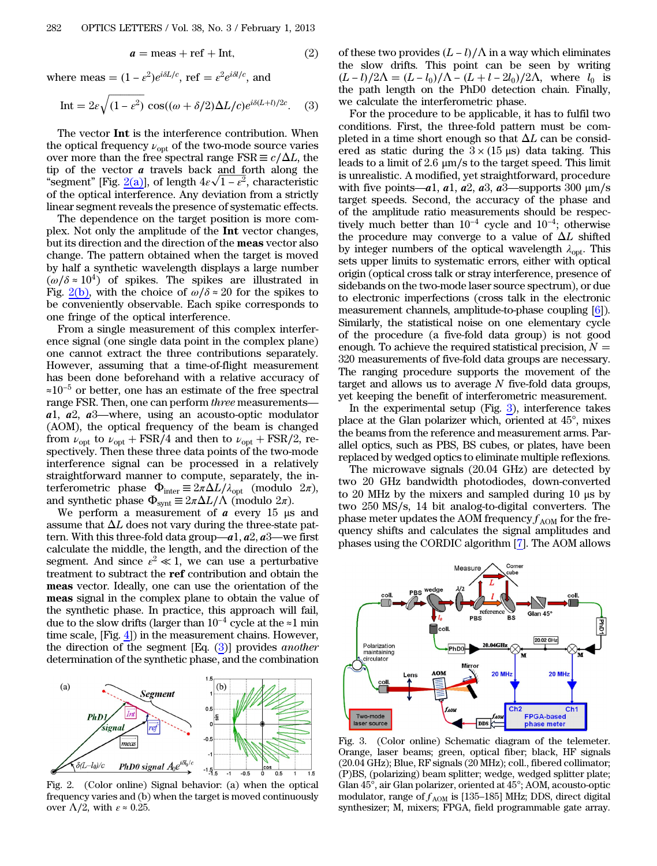$$
a = \text{meas} + \text{ref} + \text{Int},\tag{2}
$$

<span id="page-1-1"></span>where meas =  $(1 - \varepsilon^2)e^{i\delta L/c}$ , ref =  $\varepsilon^2 e^{i\delta l/c}$ , and

$$
\text{Int} = 2\varepsilon \sqrt{(1 - \varepsilon^2)} \cos((\omega + \delta/2)\Delta L/c)e^{i\delta(L+l)/2c}.
$$
 (3)

The vector Int is the interference contribution. When the optical frequency  $\nu_{\text{opt}}$  of the two-mode source varies over more than the free spectral range  $\text{FSR} \equiv c/\Delta L$ , the tip of the vector  $a$  travels back and forth along the the of the vector **a** travels back and forth along the "segment" [Fig. [2\(a\)\]](#page-1-0), of length  $4\varepsilon\sqrt{1-\varepsilon^2}$ , characteristic of the optical interference. Any deviation from a strictly linear segment reveals the presence of systematic effects.

The dependence on the target position is more complex. Not only the amplitude of the Int vector changes, but its direction and the direction of the meas vector also change. The pattern obtained when the target is moved by half a synthetic wavelength displays a large number  $(\omega/\delta \approx 10^4)$  of spikes. The spikes are illustrated in Fig. [2\(b\)](#page-1-0), with the choice of  $\omega/\delta \approx 20$  for the spikes to be conveniently observable. Each spike corresponds to one fringe of the optical interference.

From a single measurement of this complex interference signal (one single data point in the complex plane) one cannot extract the three contributions separately. However, assuming that a time-of-flight measurement has been done beforehand with a relative accuracy of ≈10<sup>−</sup><sup>5</sup> or better, one has an estimate of the free spectral range FSR. Then, one can perform three measurements <sup>a</sup>1, <sup>a</sup>2, <sup>a</sup>3—where, using an acousto-optic modulator (AOM), the optical frequency of the beam is changed from  $\nu_{\rm opt}$  to  $\nu_{\rm opt}$  + FSR/4 and then to  $\nu_{\rm opt}$  + FSR/2, respectively. Then these three data points of the two-mode interference signal can be processed in a relatively straightforward manner to compute, separately, the interferometric phase  $\Phi_{\text{inter}} \equiv 2\pi \Delta L/\lambda_{\text{opt}}$  (modulo  $2\pi$ ), and synthetic phase  $\Phi_{\text{svnt}} \equiv 2\pi \Delta L / \Lambda$  (modulo  $2\pi$ ).

We perform a measurement of  $\alpha$  every 15 μs and assume that  $\Delta L$  does not vary during the three-state pattern. With this three-fold data group— $a1$ ,  $a2$ ,  $a3$ —we first calculate the middle, the length, and the direction of the segment. And since  $\varepsilon^2 \ll 1$ , we can use a perturbative treatment to subtract the ref contribution and obtain the meas vector. Ideally, one can use the orientation of the meas signal in the complex plane to obtain the value of the synthetic phase. In practice, this approach will fail, due to the slow drifts (larger than 10<sup>−</sup><sup>4</sup> cycle at the ≈1 min time scale, [Fig. [4\]](#page-2-5)) in the measurement chains. However, the direction of the segment  $[Eq. (3)]$  $[Eq. (3)]$  $[Eq. (3)]$  provides *another* determination of the synthetic phase, and the combination

<span id="page-1-0"></span>

Fig. 2. (Color online) Signal behavior: (a) when the optical frequency varies and (b) when the target is moved continuously over  $\Lambda/2$ , with  $\varepsilon \approx 0.25$ .

of these two provides  $(L - l)/\Lambda$  in a way which eliminates the slow drifts. This point can be seen by writing  $(L-l)/2\Lambda = (L-l_0)/\Lambda - (L+l-2l_0)/2\Lambda$ , where  $l_0$  is the path length on the PhD0 detection chain. Finally, we calculate the interferometric phase.

For the procedure to be applicable, it has to fulfil two conditions. First, the three-fold pattern must be completed in a time short enough so that  $\Delta L$  can be considered as static during the  $3 \times (15 \text{ }\mu\text{s})$  data taking. This leads to a limit of 2.6 μm∕s to the target speed. This limit is unrealistic. A modified, yet straightforward, procedure with five points—a1, a1, a2, a3, a3—supports 300  $\mu$ m/s target speeds. Second, the accuracy of the phase and of the amplitude ratio measurements should be respectively much better than  $10^{-4}$  cycle and  $10^{-4}$ ; otherwise the procedure may converge to a value of  $\Delta L$  shifted by integer numbers of the optical wavelength  $\lambda_{\text{opt}}$ . This sets upper limits to systematic errors, either with optical origin (optical cross talk or stray interference, presence of sidebands on the two-mode laser source spectrum), or due to electronic imperfections (cross talk in the electronic measurement channels, amplitude-to-phase coupling [[6\]](#page-2-6)). Similarly, the statistical noise on one elementary cycle of the procedure (a five-fold data group) is not good enough. To achieve the required statistical precision,  $N =$ 320 measurements of five-fold data groups are necessary. The ranging procedure supports the movement of the target and allows us to average  $N$  five-fold data groups, yet keeping the benefit of interferometric measurement.

In the experimental setup (Fig. [3](#page-1-2)), interference takes place at the Glan polarizer which, oriented at 45°, mixes the beams from the reference and measurement arms. Parallel optics, such as PBS, BS cubes, or plates, have been replaced by wedged optics to eliminate multiple reflexions.

The microwave signals (20.04 GHz) are detected by two 20 GHz bandwidth photodiodes, down-converted to 20 MHz by the mixers and sampled during 10 μs by two 250 MS∕s, 14 bit analog-to-digital converters. The phase meter updates the AOM frequency  $f_{AOM}$  for the frequency shifts and calculates the signal amplitudes and phases using the CORDIC algorithm [\[7](#page-2-7)]. The AOM allows

<span id="page-1-2"></span>

Fig. 3. (Color online) Schematic diagram of the telemeter. Orange, laser beams; green, optical fiber; black, HF signals (20.04 GHz); Blue, RF signals (20 MHz); coll., fibered collimator; (P)BS, (polarizing) beam splitter; wedge, wedged splitter plate; Glan 45°, air Glan polarizer, oriented at 45°; AOM, acousto-optic modulator, range of  $f_{AOM}$  is [135–185] MHz; DDS, direct digital synthesizer; M, mixers; FPGA, field programmable gate array.